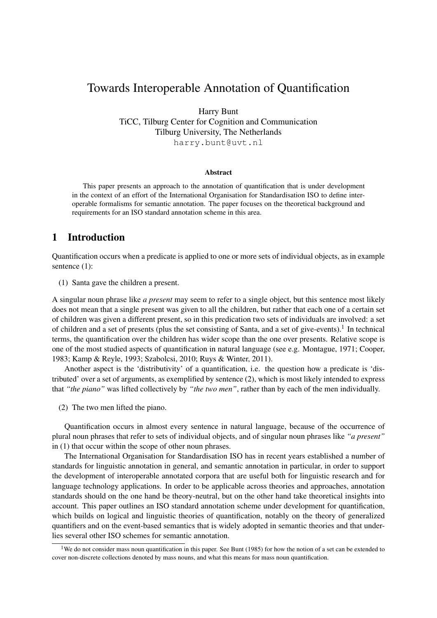# Towards Interoperable Annotation of Quantification

Harry Bunt

TiCC, Tilburg Center for Cognition and Communication Tilburg University, The Netherlands harry.bunt@uvt.nl

#### Abstract

This paper presents an approach to the annotation of quantification that is under development in the context of an effort of the International Organisation for Standardisation ISO to define interoperable formalisms for semantic annotation. The paper focuses on the theoretical background and requirements for an ISO standard annotation scheme in this area.

# 1 Introduction

Quantification occurs when a predicate is applied to one or more sets of individual objects, as in example sentence (1):

(1) Santa gave the children a present.

A singular noun phrase like *a present* may seem to refer to a single object, but this sentence most likely does not mean that a single present was given to all the children, but rather that each one of a certain set of children was given a different present, so in this predication two sets of individuals are involved: a set of children and a set of presents (plus the set consisting of Santa, and a set of give-events).<sup>1</sup> In technical terms, the quantification over the children has wider scope than the one over presents. Relative scope is one of the most studied aspects of quantification in natural language (see e.g. Montague, 1971; Cooper, 1983; Kamp & Reyle, 1993; Szabolcsi, 2010; Ruys & Winter, 2011).

Another aspect is the 'distributivity' of a quantification, i.e. the question how a predicate is 'distributed' over a set of arguments, as exemplified by sentence (2), which is most likely intended to express that *"the piano"* was lifted collectively by *"the two men"*, rather than by each of the men individually.

(2) The two men lifted the piano.

Quantification occurs in almost every sentence in natural language, because of the occurrence of plural noun phrases that refer to sets of individual objects, and of singular noun phrases like *"a present"* in (1) that occur within the scope of other noun phrases.

The International Organisation for Standardisation ISO has in recent years established a number of standards for linguistic annotation in general, and semantic annotation in particular, in order to support the development of interoperable annotated corpora that are useful both for linguistic research and for language technology applications. In order to be applicable across theories and approaches, annotation standards should on the one hand be theory-neutral, but on the other hand take theoretical insights into account. This paper outlines an ISO standard annotation scheme under development for quantification, which builds on logical and linguistic theories of quantification, notably on the theory of generalized quantifiers and on the event-based semantics that is widely adopted in semantic theories and that underlies several other ISO schemes for semantic annotation.

<sup>&</sup>lt;sup>1</sup>We do not consider mass noun quantification in this paper. See Bunt (1985) for how the notion of a set can be extended to cover non-discrete collections denoted by mass nouns, and what this means for mass noun quantification.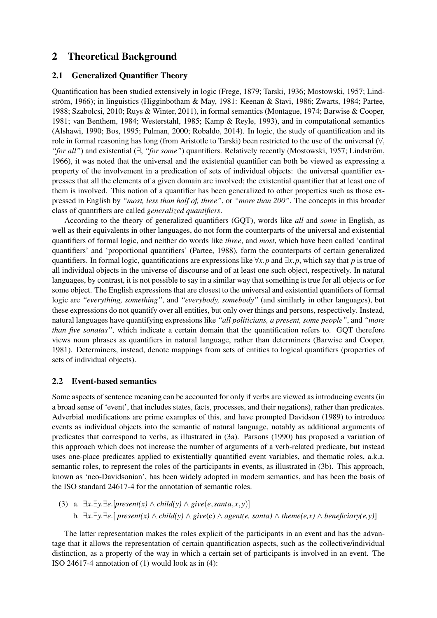# 2 Theoretical Background

### 2.1 Generalized Quantifier Theory

Quantification has been studied extensively in logic (Frege, 1879; Tarski, 1936; Mostowski, 1957; Lindström, 1966); in linguistics (Higginbotham & May, 1981: Keenan & Stavi, 1986; Zwarts, 1984; Partee, 1988; Szabolcsi, 2010; Ruys & Winter, 2011), in formal semantics (Montague, 1974; Barwise & Cooper, 1981; van Benthem, 1984; Westerstahl, 1985; Kamp & Reyle, 1993), and in computational semantics (Alshawi, 1990; Bos, 1995; Pulman, 2000; Robaldo, 2014). In logic, the study of quantification and its role in formal reasoning has long (from Aristotle to Tarski) been restricted to the use of the universal (∀, *"for all"*) and existential (∃, "*for some"*) quantifiers. Relatively recently (Mostowski, 1957; Lindström, 1966), it was noted that the universal and the existential quantifier can both be viewed as expressing a property of the involvement in a predication of sets of individual objects: the universal quantifier expresses that all the elements of a given domain are involved; the existential quantifier that at least one of them is involved. This notion of a quantifier has been generalized to other properties such as those expressed in English by *"most, less than half of, three"*, or *"more than 200"*. The concepts in this broader class of quantifiers are called *generalized quantifiers*.

According to the theory of generalized quantifiers (GQT), words like *all* and *some* in English, as well as their equivalents in other languages, do not form the counterparts of the universal and existential quantifiers of formal logic, and neither do words like *three*, and *most*, which have been called 'cardinal quantifiers' and 'proportional quantifiers' (Partee, 1988), form the counterparts of certain generalized quantifiers. In formal logic, quantifications are expressions like ∀*x*.*p* and ∃*x*.*p*, which say that *p* is true of all individual objects in the universe of discourse and of at least one such object, respectively. In natural languages, by contrast, it is not possible to say in a similar way that something is true for all objects or for some object. The English expressions that are closest to the universal and existential quantifiers of formal logic are *"everything, something"*, and *"everybody, somebody"* (and similarly in other languages), but these expressions do not quantify over all entities, but only over things and persons, respectively. Instead, natural languages have quantifying expressions like *"all politicians, a present, some people"*, and *"more than five sonatas"*, which indicate a certain domain that the quantification refers to. GQT therefore views noun phrases as quantifiers in natural language, rather than determiners (Barwise and Cooper, 1981). Determiners, instead, denote mappings from sets of entities to logical quantifiers (properties of sets of individual objects).

#### 2.2 Event-based semantics

Some aspects of sentence meaning can be accounted for only if verbs are viewed as introducing events (in a broad sense of 'event', that includes states, facts, processes, and their negations), rather than predicates. Adverbial modifications are prime examples of this, and have prompted Davidson (1989) to introduce events as individual objects into the semantic of natural language, notably as additional arguments of predicates that correspond to verbs, as illustrated in (3a). Parsons (1990) has proposed a variation of this approach which does not increase the number of arguments of a verb-related predicate, but instead uses one-place predicates applied to existentially quantified event variables, and thematic roles, a.k.a. semantic roles, to represent the roles of the participants in events, as illustrated in (3b). This approach, known as 'neo-Davidsonian', has been widely adopted in modern semantics, and has been the basis of the ISO standard 24617-4 for the annotation of semantic roles.

(3) a. ∃*x*.∃*y*.∃*e*.[*present(x)* ∧ *child(y)* ∧ *give*(*e*,*santa*, *x*, *y*)] b. ∃*x*.∃*y*.∃*e*.[ *present(x)* ∧ *child(y)* ∧ *give*(e) ∧ *agent(e, santa)* ∧ *theme(e,x)* ∧ *beneficiary(e,y)*]

The latter representation makes the roles explicit of the participants in an event and has the advantage that it allows the representation of certain quantification aspects, such as the collective/individual distinction, as a property of the way in which a certain set of participants is involved in an event. The ISO 24617-4 annotation of (1) would look as in (4):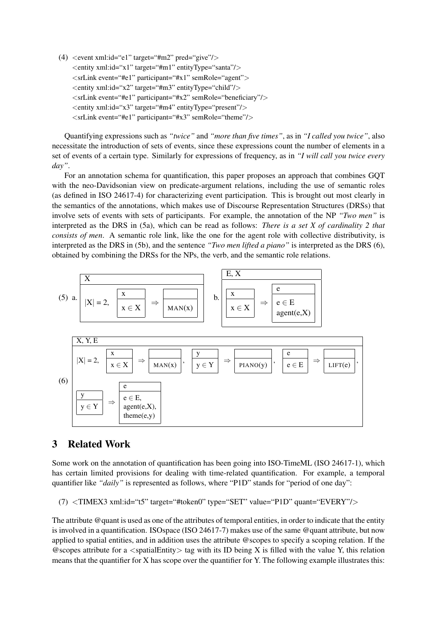(4)  $\le$  event xml:id="e1" target="#m2" pred="give"/ $>$ <entity xml:id="x1" target="#m1" entityType="santa"/>  $\langle$ srLink event="#e1" participant="#x1" semRole="agent">  $\leq$ entity xml:id="x2" target="#m3" entityType="child"/ $>$  $\langle$ srLink event="#e1" participant="#x2" semRole="beneficiary"/ $>$ <entity xml:id="x3" target="#m4" entityType="present"/> <srLink event="#e1" participant="#x3" semRole="theme"/>

Quantifying expressions such as *"twice"* and *"more than five times"*, as in *"I called you twice"*, also necessitate the introduction of sets of events, since these expressions count the number of elements in a set of events of a certain type. Similarly for expressions of frequency, as in *"I will call you twice every day"*.

For an annotation schema for quantification, this paper proposes an approach that combines GQT with the neo-Davidsonian view on predicate-argument relations, including the use of semantic roles (as defined in ISO 24617-4) for characterizing event participation. This is brought out most clearly in the semantics of the annotations, which makes use of Discourse Representation Structures (DRSs) that involve sets of events with sets of participants. For example, the annotation of the NP *"Two men"* is interpreted as the DRS in (5a), which can be read as follows: *There is a set X of cardinality 2 that consists of men*. A semantic role link, like the one for the agent role with collective distributivity, is interpreted as the DRS in (5b), and the sentence *"Two men lifted a piano"* is interpreted as the DRS (6), obtained by combining the DRSs for the NPs, the verb, and the semantic role relations.



# 3 Related Work

Some work on the annotation of quantification has been going into ISO-TimeML (ISO 24617-1), which has certain limited provisions for dealing with time-related quantification. For example, a temporal quantifier like "*daily*" is represented as follows, where "P1D" stands for "period of one day":

 $(7)$   $\langle$ TIMEX3 xml:id="t5" target="#token0" type="SET" value="P1D" quant="EVERY"/ $>$ 

The attribute @quant is used as one of the attributes of temporal entities, in order to indicate that the entity is involved in a quantification. ISOspace (ISO 24617-7) makes use of the same @quant attribute, but now applied to spatial entities, and in addition uses the attribute @scopes to specify a scoping relation. If the  $\omega$  escopes attribute for a  $\langle$  spatialEntity $\rangle$  tag with its ID being X is filled with the value Y, this relation means that the quantifier for X has scope over the quantifier for Y. The following example illustrates this: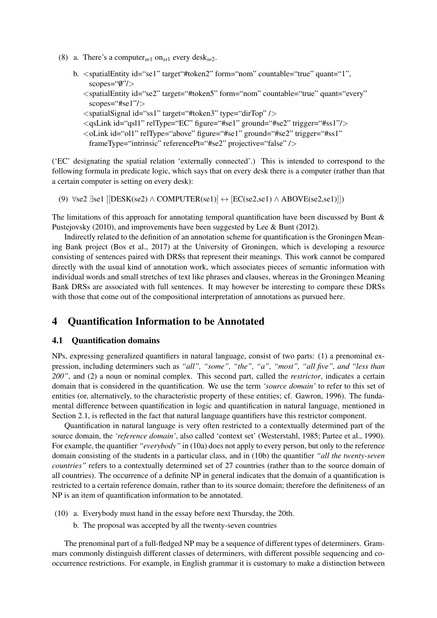(8) a. There's a computer*se*<sup>1</sup> on*ss*<sup>1</sup> every desk*se*2.

```
b. \le spatialEntity id="se1" target"#token2" form="nom" countable="true" quant="1",
scopes="\mathcal{W}'<spatialEntity id="se2" target="#token5" form="nom" countable="true" quant="every"
```
- scopes="#se1"/>
- <spatialSignal id="ss1" target="#token3" type="dirTop" />
- <qsLink id="qsl1" relType="EC" figure="#se1" ground="#se2" trigger="#ss1"/>
- <oLink id="ol1" relType="above" figure="#se1" ground="#se2" trigger="#ss1"

```
frameType="intrinsic" referencePt="#se2" projective="false" />
```
('EC' designating the spatial relation 'externally connected'.) This is intended to correspond to the following formula in predicate logic, which says that on every desk there is a computer (rather than that a certain computer is setting on every desk):

(9)  $\forall$ se2 ∃se1 [[DESK(se2) ∧ COMPUTER(se1)] ↔ [EC(se2,se1) ∧ ABOVE(se2,se1)]])

The limitations of this approach for annotating temporal quantification have been discussed by Bunt & Pustejovsky (2010), and improvements have been suggested by Lee & Bunt (2012).

Indirectly related to the definition of an annotation scheme for quantification is the Groningen Meaning Bank project (Bos et al., 2017) at the University of Groningen, which is developing a resource consisting of sentences paired with DRSs that represent their meanings. This work cannot be compared directly with the usual kind of annotation work, which associates pieces of semantic information with individual words and small stretches of text like phrases and clauses, whereas in the Groningen Meaning Bank DRSs are associated with full sentences. It may however be interesting to compare these DRSs with those that come out of the compositional interpretation of annotations as pursued here.

## 4 Quantification Information to be Annotated

#### 4.1 Quantification domains

NPs, expressing generalized quantifiers in natural language, consist of two parts: (1) a prenominal expression, including determiners such as *"all", "some", "the", "a", "most", "all five", and "less than 200"*, and (2) a noun or nominal complex. This second part, called the *restrictor*, indicates a certain domain that is considered in the quantification. We use the term *'source domain'* to refer to this set of entities (or, alternatively, to the characteristic property of these entities; cf. Gawron, 1996). The fundamental difference between quantification in logic and quantification in natural language, mentioned in Section 2.1, is reflected in the fact that natural language quantifiers have this restrictor component.

Quantification in natural language is very often restricted to a contextually determined part of the source domain, the *'reference domain'*, also called 'context set' (Westerstahl, 1985; Partee et al., 1990). For example, the quantifier *"everybody"* in (10a) does not apply to every person, but only to the reference domain consisting of the students in a particular class, and in (10b) the quantifier *"all the twenty-seven countries"* refers to a contextually determined set of 27 countries (rather than to the source domain of all countries). The occurrence of a definite NP in general indicates that the domain of a quantification is restricted to a certain reference domain, rather than to its source domain; therefore the definiteness of an NP is an item of quantification information to be annotated.

- (10) a. Everybody must hand in the essay before next Thursday, the 20th.
	- b. The proposal was accepted by all the twenty-seven countries

The prenominal part of a full-fledged NP may be a sequence of different types of determiners. Grammars commonly distinguish different classes of determiners, with different possible sequencing and cooccurrence restrictions. For example, in English grammar it is customary to make a distinction between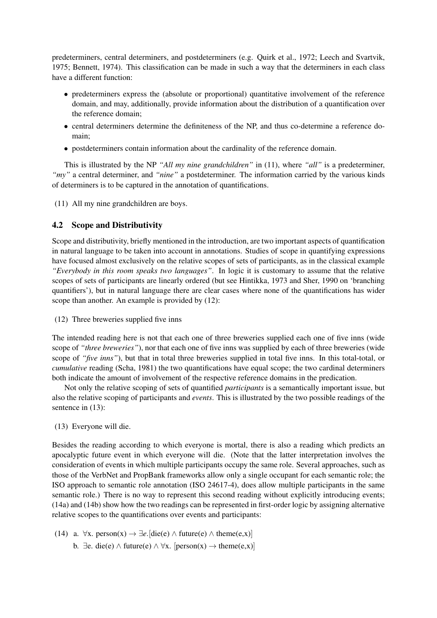predeterminers, central determiners, and postdeterminers (e.g. Quirk et al., 1972; Leech and Svartvik, 1975; Bennett, 1974). This classification can be made in such a way that the determiners in each class have a different function:

- predeterminers express the (absolute or proportional) quantitative involvement of the reference domain, and may, additionally, provide information about the distribution of a quantification over the reference domain;
- central determiners determine the definiteness of the NP, and thus co-determine a reference domain;
- postdeterminers contain information about the cardinality of the reference domain.

This is illustrated by the NP *"All my nine grandchildren"* in (11), where *"all"* is a predeterminer, *"my"* a central determiner, and *"nine"* a postdeterminer. The information carried by the various kinds of determiners is to be captured in the annotation of quantifications.

(11) All my nine grandchildren are boys.

### 4.2 Scope and Distributivity

Scope and distributivity, briefly mentioned in the introduction, are two important aspects of quantification in natural language to be taken into account in annotations. Studies of scope in quantifying expressions have focused almost exclusively on the relative scopes of sets of participants, as in the classical example *"Everybody in this room speaks two languages"*. In logic it is customary to assume that the relative scopes of sets of participants are linearly ordered (but see Hintikka, 1973 and Sher, 1990 on 'branching quantifiers'), but in natural language there are clear cases where none of the quantifications has wider scope than another. An example is provided by (12):

(12) Three breweries supplied five inns

The intended reading here is not that each one of three breweries supplied each one of five inns (wide scope of *"three breweries"*), nor that each one of five inns was supplied by each of three breweries (wide scope of *"five inns"*), but that in total three breweries supplied in total five inns. In this total-total, or *cumulative* reading (Scha, 1981) the two quantifications have equal scope; the two cardinal determiners both indicate the amount of involvement of the respective reference domains in the predication.

Not only the relative scoping of sets of quantified *participants* is a semantically important issue, but also the relative scoping of participants and *events*. This is illustrated by the two possible readings of the sentence in  $(13)$ :

(13) Everyone will die.

Besides the reading according to which everyone is mortal, there is also a reading which predicts an apocalyptic future event in which everyone will die. (Note that the latter interpretation involves the consideration of events in which multiple participants occupy the same role. Several approaches, such as those of the VerbNet and PropBank frameworks allow only a single occupant for each semantic role; the ISO approach to semantic role annotation (ISO 24617-4), does allow multiple participants in the same semantic role.) There is no way to represent this second reading without explicitly introducing events; (14a) and (14b) show how the two readings can be represented in first-order logic by assigning alternative relative scopes to the quantifications over events and participants:

(14) a.  $\forall x. \text{ person}(x) \rightarrow \exists e. [\text{die}(e) \land \text{future}(e) \land \text{ theme}(e,x)]$ b.  $\exists$ e. die(e)  $\land$  future(e)  $\land$   $\forall$ x. [person(x)  $\rightarrow$  theme(e,x)]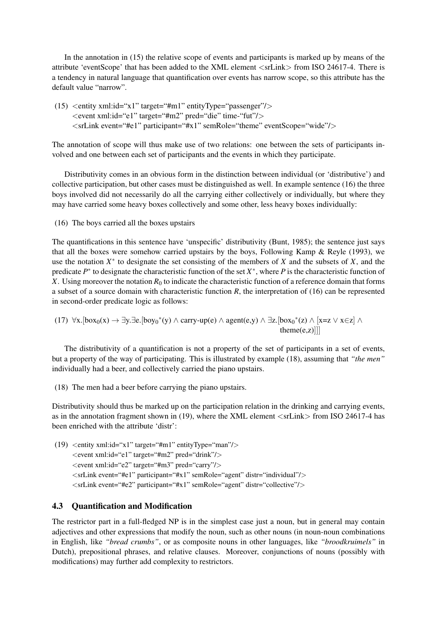In the annotation in (15) the relative scope of events and participants is marked up by means of the attribute 'eventScope' that has been added to the XML element <srLink> from ISO 24617-4. There is a tendency in natural language that quantification over events has narrow scope, so this attribute has the default value "narrow".

(15)  $\leq$ entity xml:id="x1" target="#m1" entityType="passenger"/ $>$ <event xml:id="e1" target="#m2" pred="die" time-"fut"/> <srLink event="#e1" participant="#x1" semRole="theme" eventScope="wide"/>

The annotation of scope will thus make use of two relations: one between the sets of participants involved and one between each set of participants and the events in which they participate.

Distributivity comes in an obvious form in the distinction between individual (or 'distributive') and collective participation, but other cases must be distinguished as well. In example sentence (16) the three boys involved did not necessarily do all the carrying either collectively or individually, but where they may have carried some heavy boxes collectively and some other, less heavy boxes individually:

(16) The boys carried all the boxes upstairs

The quantifications in this sentence have 'unspecific' distributivity (Bunt, 1985); the sentence just says that all the boxes were somehow carried upstairs by the boys, Following Kamp & Reyle (1993), we use the notation  $X^*$  to designate the set consisting of the members of  $X$  and the subsets of  $X$ , and the predicate  $P^*$  to designate the characteristic function of the set  $X^*$ , where  $P$  is the characteristic function of *X*. Using moreover the notation  $R_0$  to indicate the characteristic function of a reference domain that forms a subset of a source domain with characteristic function *R*, the interpretation of (16) can be represented in second-order predicate logic as follows:

(17) 
$$
\forall x. [box_0(x) \rightarrow \exists y. \exists e. [boy_0^*(y) \land carry-up(e) \land agent(e,y) \land \exists z. [box_0^*(z) \land [x=z \lor x \in z] \land theme(e,z)]]]
$$

The distributivity of a quantification is not a property of the set of participants in a set of events, but a property of the way of participating. This is illustrated by example (18), assuming that *"the men"* individually had a beer, and collectively carried the piano upstairs.

(18) The men had a beer before carrying the piano upstairs.

Distributivity should thus be marked up on the participation relation in the drinking and carrying events, as in the annotation fragment shown in (19), where the XML element  $\langle$ srLink $\rangle$  from ISO 24617-4 has been enriched with the attribute 'distr':

(19)  $\leq$ entity xml:id="x1" target="#m1" entityType="man"/>  $\leq$ event xml:id="e1" target="#m2" pred="drink"/ $>$ <event xml:id="e2" target="#m3" pred="carry"/> <srLink event="#e1" participant="#x1" semRole="agent" distr="individual"/> <srLink event="#e2" participant="#x1" semRole="agent" distr="collective"/>

### 4.3 Quantification and Modification

The restrictor part in a full-fledged NP is in the simplest case just a noun, but in general may contain adjectives and other expressions that modify the noun, such as other nouns (in noun-noun combinations in English, like *"bread crumbs"*, or as composite nouns in other languages, like *"broodkruimels"* in Dutch), prepositional phrases, and relative clauses. Moreover, conjunctions of nouns (possibly with modifications) may further add complexity to restrictors.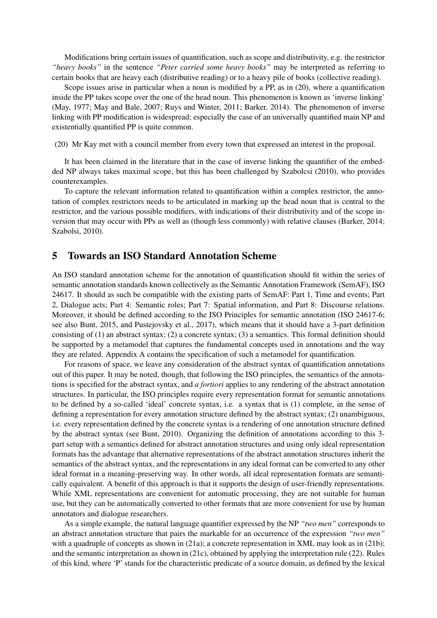Modifications bring certain issues of quantification, such as scope and distributivity, e.g. the restrictor *"heavy books"* in the sentence *"Peter carried some heavy books"* may be interpreted as referring to certain books that are heavy each (distributive reading) or to a heavy pile of books (collective reading).

Scope issues arise in particular when a noun is modified by a PP, as in (20), where a quantification inside the PP takes scope over the one of the head noun. This phenomenon is known as 'inverse linking' (May, 1977; May and Bale, 2007; Ruys and Winter, 2011; Barker, 2014). The phenomenon of inverse linking with PP modification is widespread; especially the case of an universally quantified main NP and existentially quantified PP is quite common.

(20) Mr Kay met with a council member from every town that expressed an interest in the proposal.

It has been claimed in the literature that in the case of inverse linking the quantifier of the embedded NP always takes maximal scope, but this has been challenged by Szabolcsi (2010), who provides counterexamples.

To capture the relevant information related to quantification within a complex restrictor, the annotation of complex restrictors needs to be articulated in marking up the head noun that is central to the restrictor, and the various possible modifiers, with indications of their distributivity and of the scope inversion that may occur with PPs as well as (though less commonly) with relative clauses (Barker, 2014; Szabolsi, 2010).

## 5 Towards an ISO Standard Annotation Scheme

An ISO standard annotation scheme for the annotation of quantification should fit within the series of semantic annotation standards known collectively as the Semantic Annotation Framework (SemAF), ISO 24617. It should as such be compatible with the existing parts of SemAF: Part 1, Time and events; Part 2, Dialogue acts; Part 4: Semantic roles; Part 7: Spatial information, and Part 8: Discourse relations. Moreover, it should be defined according to the ISO Principles for semantic annotation (ISO 24617-6; see also Bunt, 2015, and Pustejovsky et al., 2017), which means that it should have a 3-part definition consisting of (1) an abstract syntax; (2) a concrete syntax; (3) a semantics. This formal definition should be supported by a metamodel that captures the fundamental concepts used in annotations and the way they are related. Appendix A contains the specification of such a metamodel for quantification.

For reasons of space, we leave any consideration of the abstract syntax of quantification annotations out of this paper. It may be noted, though, that following the ISO principles, the semantics of the annotations is specified for the abstract syntax, and *a fortiori* applies to any rendering of the abstract annotation structures. In particular, the ISO principles require every representation format for semantic annotations to be defined by a so-called 'ideal' concrete syntax, i.e. a syntax that is (1) complete, in the sense of defining a representation for every annotation structure defined by the abstract syntax; (2) unambiguous, i.e. every representation defined by the concrete syntax is a rendering of one annotation structure defined by the abstract syntax (see Bunt, 2010). Organizing the definition of annotations according to this 3 part setup with a semantics defined for abstract annotation structures and using only ideal representation formats has the advantage that alternative representations of the abstract annotation structures inherit the semantics of the abstract syntax, and the representations in any ideal format can be converted to any other ideal format in a meaning-preserving way. In other words, all ideal representation formats are semantically equivalent. A benefit of this approach is that it supports the design of user-friendly representations. While XML representations are convenient for automatic processing, they are not suitable for human use, but they can be automatically converted to other formats that are more convenient for use by human annotators and dialogue researchers.

As a simple example, the natural language quantifier expressed by the NP *"two men"* corresponds to an abstract annotation structure that pairs the markable for an occurrence of the expression *"two men"* with a quadruple of concepts as shown in (21a); a concrete representation in XML may look as in (21b); and the semantic interpretation as shown in (21c), obtained by applying the interpretation rule (22). Rules of this kind, where 'P' stands for the characteristic predicate of a source domain, as defined by the lexical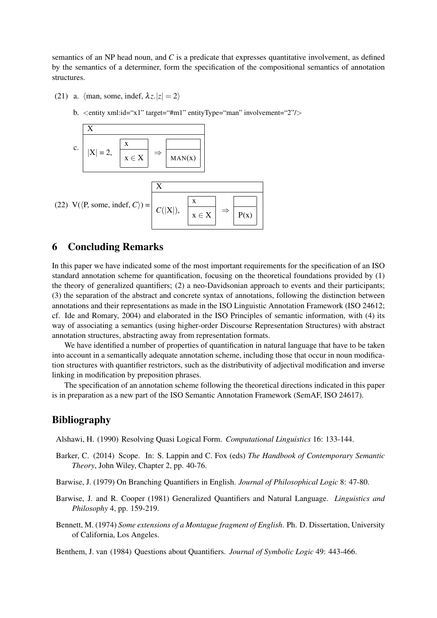semantics of an NP head noun, and *C* is a predicate that expresses quantitative involvement, as defined by the semantics of a determiner, form the specification of the compositional semantics of annotation structures.

- (21) a.  $\langle$ man, some, indef,  $\lambda z.|z| = 2\rangle$ 
	- b.  $\leq$ entity xml:id="x1" target="#m1" entityType="man" involvement="2"/>



## 6 Concluding Remarks

In this paper we have indicated some of the most important requirements for the specification of an ISO standard annotation scheme for quantification, focusing on the theoretical foundations provided by (1) the theory of generalized quantifiers; (2) a neo-Davidsonian approach to events and their participants; (3) the separation of the abstract and concrete syntax of annotations, following the distinction between annotations and their representations as made in the ISO Linguistic Annotation Framework (ISO 24612; cf. Ide and Romary, 2004) and elaborated in the ISO Principles of semantic information, with (4) its way of associating a semantics (using higher-order Discourse Representation Structures) with abstract annotation structures, abstracting away from representation formats.

We have identified a number of properties of quantification in natural language that have to be taken into account in a semantically adequate annotation scheme, including those that occur in noun modification structures with quantifier restrictors, such as the distributivity of adjectival modification and inverse linking in modification by preposition phrases.

The specification of an annotation scheme following the theoretical directions indicated in this paper is in preparation as a new part of the ISO Semantic Annotation Framework (SemAF, ISO 24617).

### Bibliography

Alshawi, H. (1990) Resolving Quasi Logical Form. *Computational Linguistics* 16: 133-144.

- Barker, C. (2014) Scope. In: S. Lappin and C. Fox (eds) *The Handbook of Contemporary Semantic Theory*, John Wiley, Chapter 2, pp. 40-76.
- Barwise, J. (1979) On Branching Quantifiers in English. *Journal of Philosophical Logic* 8: 47-80.
- Barwise, J. and R. Cooper (1981) Generalized Quantifiers and Natural Language. *Linguistics and Philosophy* 4, pp. 159-219.
- Bennett, M. (1974) *Some extensions of a Montague fragment of English*. Ph. D. Dissertation, University of California, Los Angeles.

Benthem, J. van (1984) Questions about Quantifiers. *Journal of Symbolic Logic* 49: 443-466.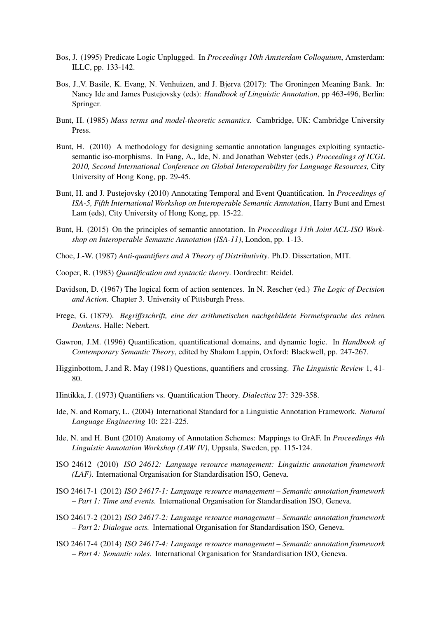- Bos, J. (1995) Predicate Logic Unplugged. In *Proceedings 10th Amsterdam Colloquium*, Amsterdam: ILLC, pp. 133-142.
- Bos, J.,V. Basile, K. Evang, N. Venhuizen, and J. Bjerva (2017): The Groningen Meaning Bank. In: Nancy Ide and James Pustejovsky (eds): *Handbook of Linguistic Annotation*, pp 463-496, Berlin: Springer.
- Bunt, H. (1985) *Mass terms and model-theoretic semantics.* Cambridge, UK: Cambridge University Press.
- Bunt, H. (2010) A methodology for designing semantic annotation languages exploiting syntacticsemantic iso-morphisms. In Fang, A., Ide, N. and Jonathan Webster (eds.) *Proceedings of ICGL 2010, Second International Conference on Global Interoperability for Language Resources*, City University of Hong Kong, pp. 29-45.
- Bunt, H. and J. Pustejovsky (2010) Annotating Temporal and Event Quantification. In *Proceedings of ISA-5, Fifth International Workshop on Interoperable Semantic Annotation*, Harry Bunt and Ernest Lam (eds), City University of Hong Kong, pp. 15-22.
- Bunt, H. (2015) On the principles of semantic annotation. In *Proceedings 11th Joint ACL-ISO Workshop on Interoperable Semantic Annotation (ISA-11)*, London, pp. 1-13.
- Choe, J.-W. (1987) *Anti-quantifiers and A Theory of Distributivity*. Ph.D. Dissertation, MIT.
- Cooper, R. (1983) *Quantification and syntactic theory*. Dordrecht: Reidel.
- Davidson, D. (1967) The logical form of action sentences. In N. Rescher (ed.) *The Logic of Decision and Action.* Chapter 3. University of Pittsburgh Press.
- Frege, G. (1879). *Begriffsschrift, eine der arithmetischen nachgebildete Formelsprache des reinen Denkens*. Halle: Nebert.
- Gawron, J.M. (1996) Quantification, quantificational domains, and dynamic logic. In *Handbook of Contemporary Semantic Theory*, edited by Shalom Lappin, Oxford: Blackwell, pp. 247-267.
- Higginbottom, J.and R. May (1981) Questions, quantifiers and crossing. *The Linguistic Review* 1, 41- 80.
- Hintikka, J. (1973) Quantifiers vs. Quantification Theory. *Dialectica* 27: 329-358.
- Ide, N. and Romary, L. (2004) International Standard for a Linguistic Annotation Framework. *Natural Language Engineering* 10: 221-225.
- Ide, N. and H. Bunt (2010) Anatomy of Annotation Schemes: Mappings to GrAF. In *Proceedings 4th Linguistic Annotation Workshop (LAW IV)*, Uppsala, Sweden, pp. 115-124.
- ISO 24612 (2010) *ISO 24612: Language resource management: Linguistic annotation framework (LAF)*. International Organisation for Standardisation ISO, Geneva.
- ISO 24617-1 (2012) *ISO 24617-1: Language resource management Semantic annotation framework – Part 1: Time and events.* International Organisation for Standardisation ISO, Geneva.
- ISO 24617-2 (2012) *ISO 24617-2: Language resource management Semantic annotation framework – Part 2: Dialogue acts.* International Organisation for Standardisation ISO, Geneva.
- ISO 24617-4 (2014) *ISO 24617-4: Language resource management Semantic annotation framework – Part 4: Semantic roles.* International Organisation for Standardisation ISO, Geneva.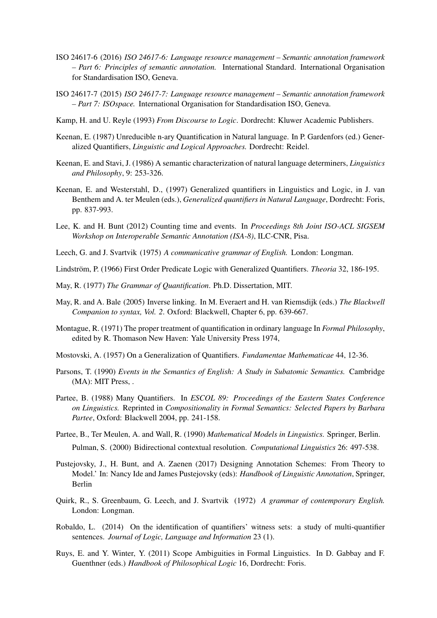- ISO 24617-6 (2016) *ISO 24617-6: Language resource management Semantic annotation framework – Part 6: Principles of semantic annotation.* International Standard. International Organisation for Standardisation ISO, Geneva.
- ISO 24617-7 (2015) *ISO 24617-7: Language resource management Semantic annotation framework – Part 7: ISOspace.* International Organisation for Standardisation ISO, Geneva.
- Kamp, H. and U. Reyle (1993) *From Discourse to Logic*. Dordrecht: Kluwer Academic Publishers.
- Keenan, E. (1987) Unreducible n-ary Quantification in Natural language. In P. Gardenfors (ed.) Generalized Quantifiers, *Linguistic and Logical Approaches.* Dordrecht: Reidel.
- Keenan, E. and Stavi, J. (1986) A semantic characterization of natural language determiners, *Linguistics and Philosophy*, 9: 253-326.
- Keenan, E. and Westerstahl, D., (1997) Generalized quantifiers in Linguistics and Logic, in J. van Benthem and A. ter Meulen (eds.), *Generalized quantifiers in Natural Language*, Dordrecht: Foris, pp. 837-993.
- Lee, K. and H. Bunt (2012) Counting time and events. In *Proceedings 8th Joint ISO-ACL SIGSEM Workshop on Interoperable Semantic Annotation (ISA-8)*, ILC-CNR, Pisa.
- Leech, G. and J. Svartvik (1975) *A communicative grammar of English.* London: Longman.
- Lindström, P. (1966) First Order Predicate Logic with Generalized Quantifiers. *Theoria* 32, 186-195.
- May, R. (1977) *The Grammar of Quantification*. Ph.D. Dissertation, MIT.
- May, R. and A. Bale (2005) Inverse linking. In M. Everaert and H. van Riemsdijk (eds.) *The Blackwell Companion to syntax, Vol. 2*. Oxford: Blackwell, Chapter 6, pp. 639-667.
- Montague, R. (1971) The proper treatment of quantification in ordinary language In *Formal Philosophy*, edited by R. Thomason New Haven: Yale University Press 1974,
- Mostovski, A. (1957) On a Generalization of Quantifiers. *Fundamentae Mathematicae* 44, 12-36.
- Parsons, T. (1990) *Events in the Semantics of English: A Study in Subatomic Semantics.* Cambridge (MA): MIT Press, .
- Partee, B. (1988) Many Quantifiers. In *ESCOL 89: Proceedings of the Eastern States Conference on Linguistics.* Reprinted in *Compositionality in Formal Semantics: Selected Papers by Barbara Partee*, Oxford: Blackwell 2004, pp. 241-158.
- Partee, B., Ter Meulen, A. and Wall, R. (1990) *Mathematical Models in Linguistics.* Springer, Berlin. Pulman, S. (2000) Bidirectional contextual resolution. *Computational Linguistics* 26: 497-538.
- Pustejovsky, J., H. Bunt, and A. Zaenen (2017) Designing Annotation Schemes: From Theory to Model.' In: Nancy Ide and James Pustejovsky (eds): *Handbook of Linguistic Annotation*, Springer, Berlin
- Quirk, R., S. Greenbaum, G. Leech, and J. Svartvik (1972) *A grammar of contemporary English.* London: Longman.
- Robaldo, L. (2014) On the identification of quantifiers' witness sets: a study of multi-quantifier sentences. *Journal of Logic, Language and Information* 23 (1).
- Ruys, E. and Y. Winter, Y. (2011) Scope Ambiguities in Formal Linguistics. In D. Gabbay and F. Guenthner (eds.) *Handbook of Philosophical Logic* 16, Dordrecht: Foris.